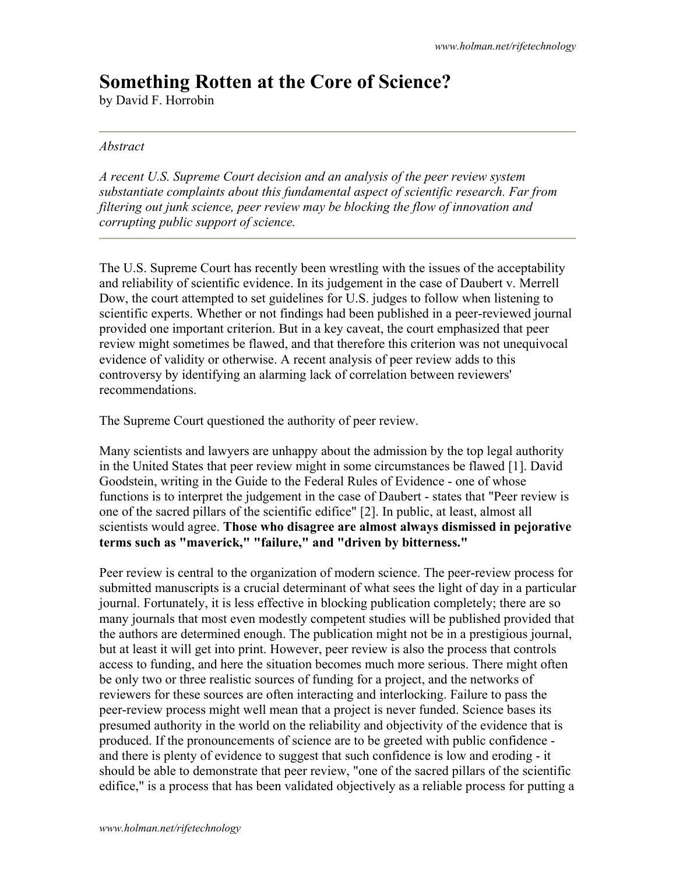# **Something Rotten at the Core of Science?**

by David F. Horrobin

#### *Abstract*

*A recent U.S. Supreme Court decision and an analysis of the peer review system substantiate complaints about this fundamental aspect of scientific research. Far from filtering out junk science, peer review may be blocking the flow of innovation and corrupting public support of science.*

The U.S. Supreme Court has recently been wrestling with the issues of the acceptability and reliability of scientific evidence. In its judgement in the case of Daubert v. Merrell Dow, the court attempted to set guidelines for U.S. judges to follow when listening to scientific experts. Whether or not findings had been published in a peer-reviewed journal provided one important criterion. But in a key caveat, the court emphasized that peer review might sometimes be flawed, and that therefore this criterion was not unequivocal evidence of validity or otherwise. A recent analysis of peer review adds to this controversy by identifying an alarming lack of correlation between reviewers' recommendations.

The Supreme Court questioned the authority of peer review.

Many scientists and lawyers are unhappy about the admission by the top legal authority in the United States that peer review might in some circumstances be flawed [1]. David Goodstein, writing in the Guide to the Federal Rules of Evidence - one of whose functions is to interpret the judgement in the case of Daubert - states that "Peer review is one of the sacred pillars of the scientific edifice" [2]. In public, at least, almost all scientists would agree. **Those who disagree are almost always dismissed in pejorative terms such as "maverick," "failure," and "driven by bitterness."**

Peer review is central to the organization of modern science. The peer-review process for submitted manuscripts is a crucial determinant of what sees the light of day in a particular journal. Fortunately, it is less effective in blocking publication completely; there are so many journals that most even modestly competent studies will be published provided that the authors are determined enough. The publication might not be in a prestigious journal, but at least it will get into print. However, peer review is also the process that controls access to funding, and here the situation becomes much more serious. There might often be only two or three realistic sources of funding for a project, and the networks of reviewers for these sources are often interacting and interlocking. Failure to pass the peer-review process might well mean that a project is never funded. Science bases its presumed authority in the world on the reliability and objectivity of the evidence that is produced. If the pronouncements of science are to be greeted with public confidence and there is plenty of evidence to suggest that such confidence is low and eroding - it should be able to demonstrate that peer review, "one of the sacred pillars of the scientific edifice," is a process that has been validated objectively as a reliable process for putting a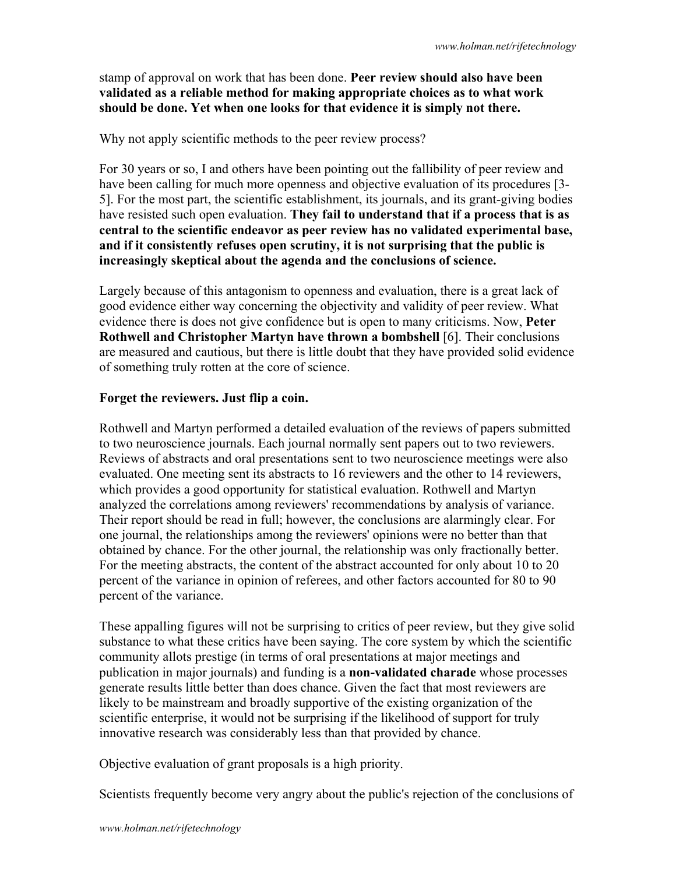stamp of approval on work that has been done. **Peer review should also have been validated as a reliable method for making appropriate choices as to what work should be done. Yet when one looks for that evidence it is simply not there.**

Why not apply scientific methods to the peer review process?

For 30 years or so, I and others have been pointing out the fallibility of peer review and have been calling for much more openness and objective evaluation of its procedures [3-5]. For the most part, the scientific establishment, its journals, and its grant-giving bodies have resisted such open evaluation. **They fail to understand that if a process that is as central to the scientific endeavor as peer review has no validated experimental base, and if it consistently refuses open scrutiny, it is not surprising that the public is increasingly skeptical about the agenda and the conclusions of science.**

Largely because of this antagonism to openness and evaluation, there is a great lack of good evidence either way concerning the objectivity and validity of peer review. What evidence there is does not give confidence but is open to many criticisms. Now, **Peter Rothwell and Christopher Martyn have thrown a bombshell** [6]. Their conclusions are measured and cautious, but there is little doubt that they have provided solid evidence of something truly rotten at the core of science.

### **Forget the reviewers. Just flip a coin.**

Rothwell and Martyn performed a detailed evaluation of the reviews of papers submitted to two neuroscience journals. Each journal normally sent papers out to two reviewers. Reviews of abstracts and oral presentations sent to two neuroscience meetings were also evaluated. One meeting sent its abstracts to 16 reviewers and the other to 14 reviewers, which provides a good opportunity for statistical evaluation. Rothwell and Martyn analyzed the correlations among reviewers' recommendations by analysis of variance. Their report should be read in full; however, the conclusions are alarmingly clear. For one journal, the relationships among the reviewers' opinions were no better than that obtained by chance. For the other journal, the relationship was only fractionally better. For the meeting abstracts, the content of the abstract accounted for only about 10 to 20 percent of the variance in opinion of referees, and other factors accounted for 80 to 90 percent of the variance.

These appalling figures will not be surprising to critics of peer review, but they give solid substance to what these critics have been saying. The core system by which the scientific community allots prestige (in terms of oral presentations at major meetings and publication in major journals) and funding is a **non-validated charade** whose processes generate results little better than does chance. Given the fact that most reviewers are likely to be mainstream and broadly supportive of the existing organization of the scientific enterprise, it would not be surprising if the likelihood of support for truly innovative research was considerably less than that provided by chance.

Objective evaluation of grant proposals is a high priority.

Scientists frequently become very angry about the public's rejection of the conclusions of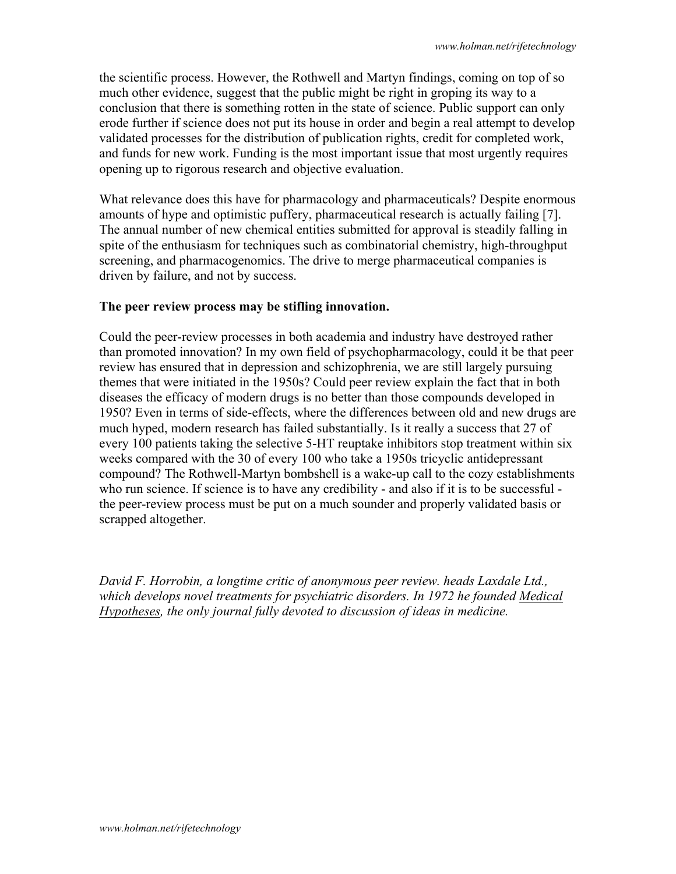the scientific process. However, the Rothwell and Martyn findings, coming on top of so much other evidence, suggest that the public might be right in groping its way to a conclusion that there is something rotten in the state of science. Public support can only erode further if science does not put its house in order and begin a real attempt to develop validated processes for the distribution of publication rights, credit for completed work, and funds for new work. Funding is the most important issue that most urgently requires opening up to rigorous research and objective evaluation.

What relevance does this have for pharmacology and pharmaceuticals? Despite enormous amounts of hype and optimistic puffery, pharmaceutical research is actually failing [7]. The annual number of new chemical entities submitted for approval is steadily falling in spite of the enthusiasm for techniques such as combinatorial chemistry, high-throughput screening, and pharmacogenomics. The drive to merge pharmaceutical companies is driven by failure, and not by success.

#### **The peer review process may be stifling innovation.**

Could the peer-review processes in both academia and industry have destroyed rather than promoted innovation? In my own field of psychopharmacology, could it be that peer review has ensured that in depression and schizophrenia, we are still largely pursuing themes that were initiated in the 1950s? Could peer review explain the fact that in both diseases the efficacy of modern drugs is no better than those compounds developed in 1950? Even in terms of side-effects, where the differences between old and new drugs are much hyped, modern research has failed substantially. Is it really a success that 27 of every 100 patients taking the selective 5-HT reuptake inhibitors stop treatment within six weeks compared with the 30 of every 100 who take a 1950s tricyclic antidepressant compound? The Rothwell-Martyn bombshell is a wake-up call to the cozy establishments who run science. If science is to have any credibility - and also if it is to be successful the peer-review process must be put on a much sounder and properly validated basis or scrapped altogether.

*David F. Horrobin, a longtime critic of anonymous peer review. heads Laxdale Ltd., which develops novel treatments for psychiatric disorders. In 1972 he founded [Medical](http://www.harcourt-international.com/journals/mehy/default.cfm) [Hypotheses](http://www.harcourt-international.com/journals/mehy/default.cfm), the only journal fully devoted to discussion of ideas in medicine.*